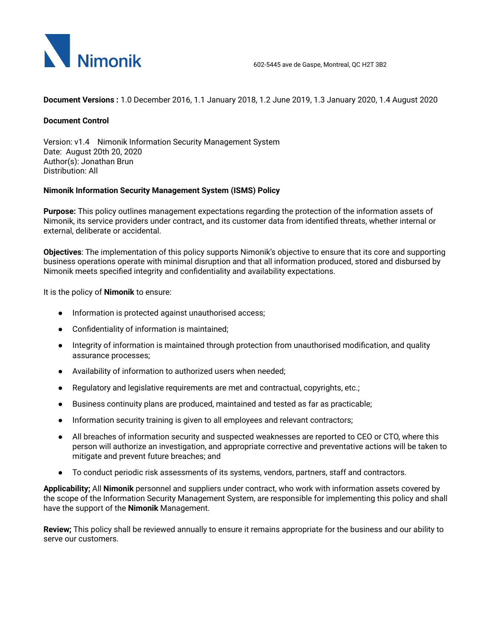

**Document Versions :** 1.0 December 2016, 1.1 January 2018, 1.2 June 2019, 1.3 January 2020, 1.4 August 2020

## **Document Control**

Version: v1.4 Nimonik Information Security Management System Date: August 20th 20, 2020 Author(s): Jonathan Brun Distribution: All

## **Nimonik Information Security Management System (ISMS) Policy**

**Purpose:** This policy outlines management expectations regarding the protection of the information assets of Nimonik, its service providers under contract**,** and its customer data from identified threats, whether internal or external, deliberate or accidental.

**Objectives**: The implementation of this policy supports Nimonik's objective to ensure that its core and supporting business operations operate with minimal disruption and that all information produced, stored and disbursed by Nimonik meets specified integrity and confidentiality and availability expectations.

It is the policy of **Nimonik** to ensure:

- Information is protected against unauthorised access;
- Confidentiality of information is maintained;
- Integrity of information is maintained through protection from unauthorised modification, and quality assurance processes;
- Availability of information to authorized users when needed;
- Regulatory and legislative requirements are met and contractual, copyrights, etc.;
- Business continuity plans are produced, maintained and tested as far as practicable;
- Information security training is given to all employees and relevant contractors;
- All breaches of information security and suspected weaknesses are reported to CEO or CTO, where this person will authorize an investigation, and appropriate corrective and preventative actions will be taken to mitigate and prevent future breaches; and
- To conduct periodic risk assessments of its systems, vendors, partners, staff and contractors.

**Applicability;** All **Nimonik** personnel and suppliers under contract, who work with information assets covered by the scope of the Information Security Management System, are responsible for implementing this policy and shall have the support of the **Nimonik** Management.

**Review;** This policy shall be reviewed annually to ensure it remains appropriate for the business and our ability to serve our customers.